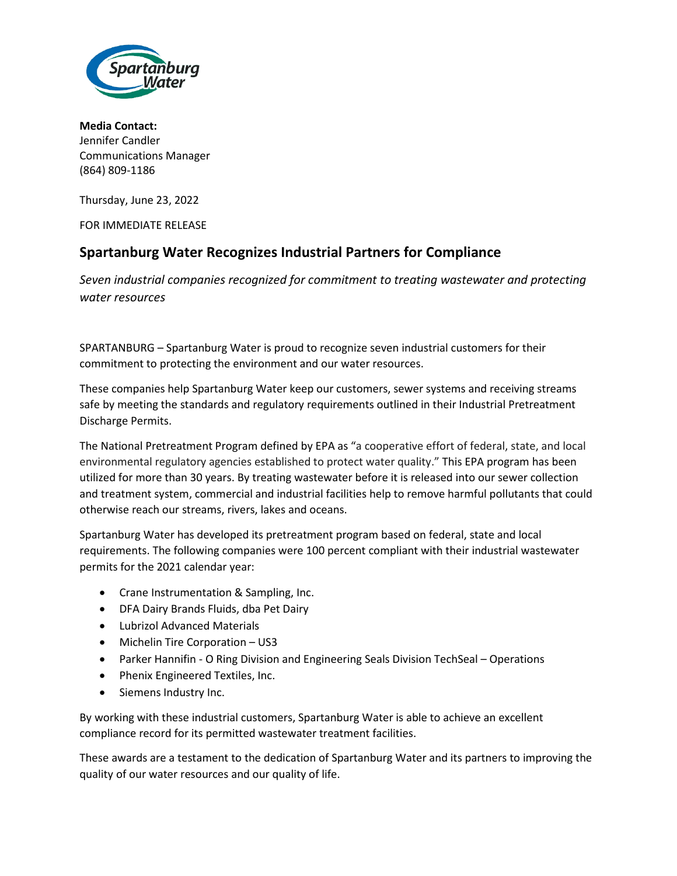

**Media Contact:** Jennifer Candler Communications Manager (864) 809-1186

Thursday, June 23, 2022

FOR IMMEDIATE RELEASE

## **Spartanburg Water Recognizes Industrial Partners for Compliance**

*Seven industrial companies recognized for commitment to treating wastewater and protecting water resources*

SPARTANBURG – Spartanburg Water is proud to recognize seven industrial customers for their commitment to protecting the environment and our water resources.

These companies help Spartanburg Water keep our customers, sewer systems and receiving streams safe by meeting the standards and regulatory requirements outlined in their Industrial Pretreatment Discharge Permits.

The National Pretreatment Program defined by EPA as "a cooperative effort of federal, state, and local environmental regulatory agencies established to protect water quality." This EPA program has been utilized for more than 30 years. By treating wastewater before it is released into our sewer collection and treatment system, commercial and industrial facilities help to remove harmful pollutants that could otherwise reach our streams, rivers, lakes and oceans.

Spartanburg Water has developed its pretreatment program based on federal, state and local requirements. The following companies were 100 percent compliant with their industrial wastewater permits for the 2021 calendar year:

- Crane Instrumentation & Sampling, Inc.
- DFA Dairy Brands Fluids, dba Pet Dairy
- Lubrizol Advanced Materials
- Michelin Tire Corporation US3
- Parker Hannifin O Ring Division and Engineering Seals Division TechSeal Operations
- Phenix Engineered Textiles, Inc.
- Siemens Industry Inc.

By working with these industrial customers, Spartanburg Water is able to achieve an excellent compliance record for its permitted wastewater treatment facilities.

These awards are a testament to the dedication of Spartanburg Water and its partners to improving the quality of our water resources and our quality of life.